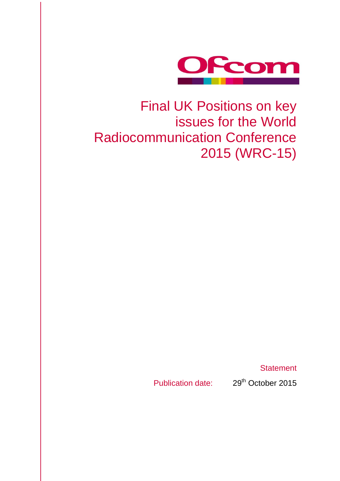

## Final UK Positions on key issues for the World Radiocommunication Conference 2015 (WRC-15)

**Statement** 

Publication date: 29<sup>th</sup> October 2015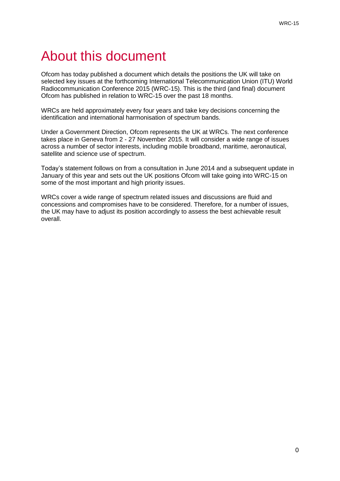## About this document

Ofcom has today published a document which details the positions the UK will take on selected key issues at the forthcoming International Telecommunication Union (ITU) World Radiocommunication Conference 2015 (WRC-15). This is the third (and final) document Ofcom has published in relation to WRC-15 over the past 18 months.

WRCs are held approximately every four years and take key decisions concerning the identification and international harmonisation of spectrum bands.

Under a Government Direction, Ofcom represents the UK at WRCs. The next conference takes place in Geneva from 2 - 27 November 2015. It will consider a wide range of issues across a number of sector interests, including mobile broadband, maritime, aeronautical, satellite and science use of spectrum.

Today's statement follows on from a consultation in June 2014 and a subsequent update in January of this year and sets out the UK positions Ofcom will take going into WRC-15 on some of the most important and high priority issues.

WRCs cover a wide range of spectrum related issues and discussions are fluid and concessions and compromises have to be considered. Therefore, for a number of issues, the UK may have to adjust its position accordingly to assess the best achievable result overall.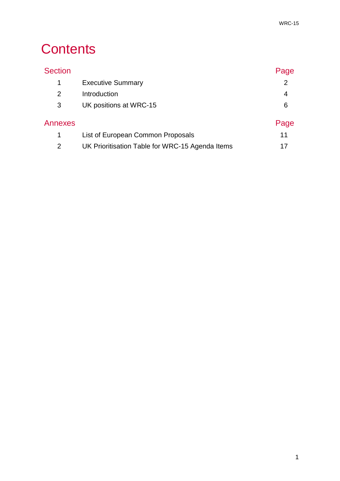## **Contents**

| <b>Section</b> |                                                 | Page |
|----------------|-------------------------------------------------|------|
| 1              | <b>Executive Summary</b>                        | 2    |
| 2              | Introduction                                    | 4    |
| 3              | UK positions at WRC-15                          | 6    |
| Annexes        |                                                 | Page |
| 1              | List of European Common Proposals               | 11   |
| 2              | UK Prioritisation Table for WRC-15 Agenda Items |      |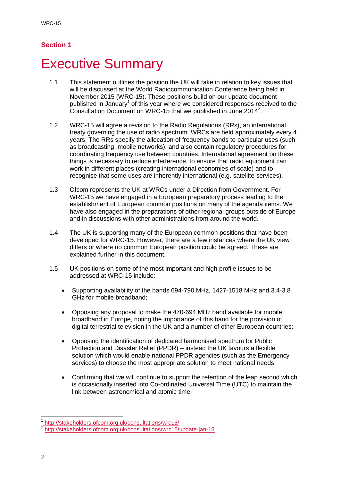### **Section 1**

## **Executive Summary**

- 1.1 This statement outlines the position the UK will take in relation to key issues that will be discussed at the World Radiocommunication Conference being held in November 2015 (WRC-15). These positions build on our update document published in January<sup>1</sup> of this year where we considered responses received to the Consultation Document on WRC-15 that we published in June 2014<sup>2</sup>.
- 1.2 WRC-15 will agree a revision to the Radio Regulations (RRs), an international treaty governing the use of radio spectrum. WRCs are held approximately every 4 years. The RRs specify the allocation of frequency bands to particular uses (such as broadcasting, mobile networks), and also contain regulatory procedures for coordinating frequency use between countries. International agreement on these things is necessary to reduce interference, to ensure that radio equipment can work in different places (creating international economies of scale) and to recognise that some uses are inherently international (e.g. satellite services).
- 1.3 Ofcom represents the UK at WRCs under a Direction from Government. For WRC-15 we have engaged in a European preparatory process leading to the establishment of European common positions on many of the agenda items. We have also engaged in the preparations of other regional groups outside of Europe and in discussions with other administrations from around the world.
- 1.4 The UK is supporting many of the European common positions that have been developed for WRC-15. However, there are a few instances where the UK view differs or where no common European position could be agreed. These are explained further in this document.
- 1.5 UK positions on some of the most important and high profile issues to be addressed at WRC-15 include:
	- Supporting availability of the bands 694-790 MHz, 1427-1518 MHz and 3.4-3.8 GHz for mobile broadband;
	- Opposing any proposal to make the 470-694 MHz band available for mobile broadband in Europe, noting the importance of this band for the provision of digital terrestrial television in the UK and a number of other European countries;
	- Opposing the identification of dedicated harmonised spectrum for Public Protection and Disaster Relief (PPDR) – instead the UK favours a flexible solution which would enable national PPDR agencies (such as the Emergency services) to choose the most appropriate solution to meet national needs;
	- Confirming that we will continue to support the retention of the leap second which is occasionally inserted into Co-ordinated Universal Time (UTC) to maintain the link between astronomical and atomic time;

 1 <http://stakeholders.ofcom.org.uk/consultations/wrc15/>

<sup>&</sup>lt;sup>2</sup> <http://stakeholders.ofcom.org.uk/consultations/wrc15/update-jan-15>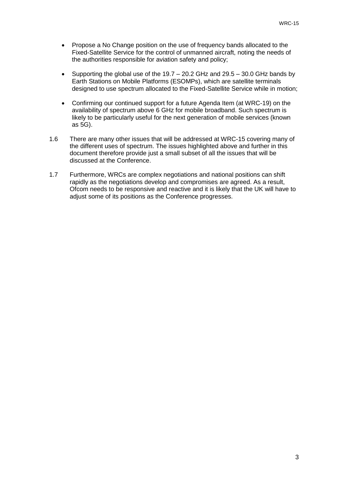- Propose a No Change position on the use of frequency bands allocated to the Fixed-Satellite Service for the control of unmanned aircraft, noting the needs of the authorities responsible for aviation safety and policy;
- Supporting the global use of the  $19.7 20.2$  GHz and  $29.5 30.0$  GHz bands by Earth Stations on Mobile Platforms (ESOMPs), which are satellite terminals designed to use spectrum allocated to the Fixed-Satellite Service while in motion;
- Confirming our continued support for a future Agenda Item (at WRC-19) on the availability of spectrum above 6 GHz for mobile broadband. Such spectrum is likely to be particularly useful for the next generation of mobile services (known as 5G).
- 1.6 There are many other issues that will be addressed at WRC-15 covering many of the different uses of spectrum. The issues highlighted above and further in this document therefore provide just a small subset of all the issues that will be discussed at the Conference.
- 1.7 Furthermore, WRCs are complex negotiations and national positions can shift rapidly as the negotiations develop and compromises are agreed. As a result, Ofcom needs to be responsive and reactive and it is likely that the UK will have to adjust some of its positions as the Conference progresses.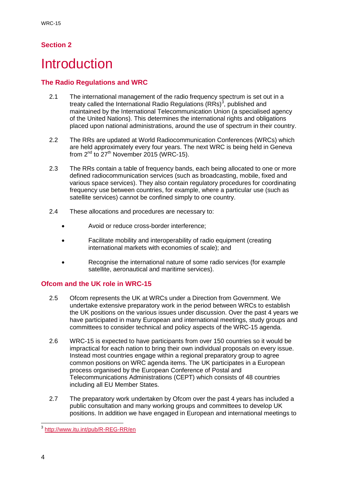### **Section 2**

### **Introduction**

### **The Radio Regulations and WRC**

- 2.1 The international management of the radio frequency spectrum is set out in a treaty called the International Radio Regulations (RRs)<sup>3</sup>, published and maintained by the International Telecommunication Union (a specialised agency of the United Nations). This determines the international rights and obligations placed upon national administrations, around the use of spectrum in their country.
- 2.2 The RRs are updated at World Radiocommunication Conferences (WRCs) which are held approximately every four years. The next WRC is being held in Geneva from  $2^{nd}$  to  $27^{th}$  November 2015 (WRC-15).
- 2.3 The RRs contain a table of frequency bands, each being allocated to one or more defined radiocommunication services (such as broadcasting, mobile, fixed and various space services). They also contain regulatory procedures for coordinating frequency use between countries, for example, where a particular use (such as satellite services) cannot be confined simply to one country.
- 2.4 These allocations and procedures are necessary to:
	- Avoid or reduce cross-border interference;
	- Facilitate mobility and interoperability of radio equipment (creating international markets with economies of scale); and
	- Recognise the international nature of some radio services (for example satellite, aeronautical and maritime services).

### **Ofcom and the UK role in WRC-15**

- 2.5 Ofcom represents the UK at WRCs under a Direction from Government. We undertake extensive preparatory work in the period between WRCs to establish the UK positions on the various issues under discussion. Over the past 4 years we have participated in many European and international meetings, study groups and committees to consider technical and policy aspects of the WRC-15 agenda.
- 2.6 WRC-15 is expected to have participants from over 150 countries so it would be impractical for each nation to bring their own individual proposals on every issue. Instead most countries engage within a regional preparatory group to agree common positions on WRC agenda items. The UK participates in a European process organised by the European Conference of Postal and Telecommunications Administrations (CEPT) which consists of 48 countries including all EU Member States.
- 2.7 The preparatory work undertaken by Ofcom over the past 4 years has included a public consultation and many working groups and committees to develop UK positions. In addition we have engaged in European and international meetings to

 3 <http://www.itu.int/pub/R-REG-RR/en>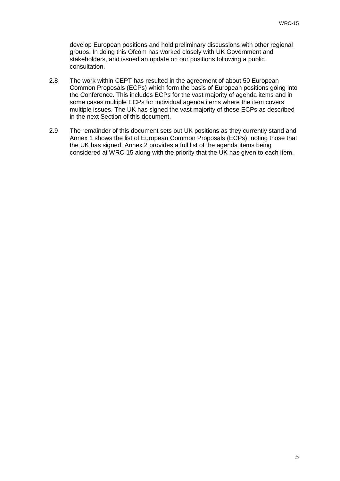develop European positions and hold preliminary discussions with other regional groups. In doing this Ofcom has worked closely with UK Government and stakeholders, and issued an update on our positions following a public consultation.

- 2.8 The work within CEPT has resulted in the agreement of about 50 European Common Proposals (ECPs) which form the basis of European positions going into the Conference. This includes ECPs for the vast majority of agenda items and in some cases multiple ECPs for individual agenda items where the item covers multiple issues. The UK has signed the vast majority of these ECPs as described in the next Section of this document.
- 2.9 The remainder of this document sets out UK positions as they currently stand and Annex 1 shows the list of European Common Proposals (ECPs), noting those that the UK has signed. Annex 2 provides a full list of the agenda items being considered at WRC-15 along with the priority that the UK has given to each item.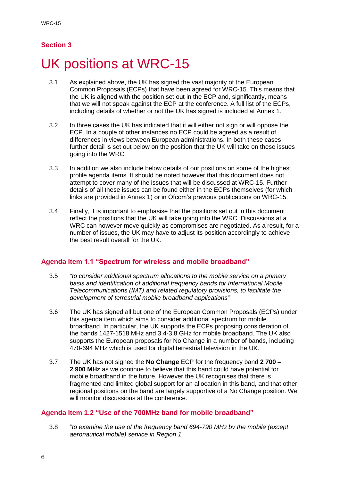### **Section 3**

## UK positions at WRC-15

- 3.1 As explained above, the UK has signed the vast majority of the European Common Proposals (ECPs) that have been agreed for WRC-15. This means that the UK is aligned with the position set out in the ECP and, significantly, means that we will not speak against the ECP at the conference. A full list of the ECPs, including details of whether or not the UK has signed is included at Annex 1.
- 3.2 In three cases the UK has indicated that it will either not sign or will oppose the ECP. In a couple of other instances no ECP could be agreed as a result of differences in views between European administrations. In both these cases further detail is set out below on the position that the UK will take on these issues going into the WRC.
- 3.3 In addition we also include below details of our positions on some of the highest profile agenda items. It should be noted however that this document does not attempt to cover many of the issues that will be discussed at WRC-15. Further details of all these issues can be found either in the ECPs themselves (for which links are provided in Annex 1) or in Ofcom's previous publications on WRC-15.
- 3.4 Finally, it is important to emphasise that the positions set out in this document reflect the positions that the UK will take going into the WRC. Discussions at a WRC can however move quickly as compromises are negotiated. As a result, for a number of issues, the UK may have to adjust its position accordingly to achieve the best result overall for the UK.

#### **Agenda Item 1.1 "Spectrum for wireless and mobile broadband"**

- 3.5 *"to consider additional spectrum allocations to the mobile service on a primary basis and identification of additional frequency bands for International Mobile Telecommunications (IMT) and related regulatory provisions, to facilitate the development of terrestrial mobile broadband applications"*
- 3.6 The UK has signed all but one of the European Common Proposals (ECPs) under this agenda item which aims to consider additional spectrum for mobile broadband. In particular, the UK supports the ECPs proposing consideration of the bands 1427-1518 MHz and 3.4-3.8 GHz for mobile broadband. The UK also supports the European proposals for No Change in a number of bands, including 470-694 MHz which is used for digital terrestrial television in the UK.
- 3.7 The UK has not signed the **No Change** ECP for the frequency band **2 700 – 2 900 MHz** as we continue to believe that this band could have potential for mobile broadband in the future. However the UK recognises that there is fragmented and limited global support for an allocation in this band, and that other regional positions on the band are largely supportive of a No Change position. We will monitor discussions at the conference.

#### **Agenda Item 1.2 "Use of the 700MHz band for mobile broadband"**

3.8 "*to examine the use of the frequency band 694-790 MHz by the mobile (except aeronautical mobile) service in Region 1*"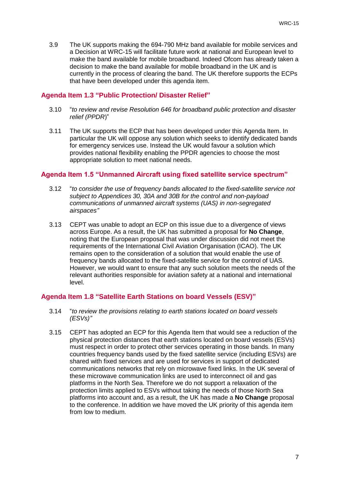3.9 The UK supports making the 694-790 MHz band available for mobile services and a Decision at WRC-15 will facilitate future work at national and European level to make the band available for mobile broadband. Indeed Ofcom has already taken a decision to make the band available for mobile broadband in the UK and is currently in the process of clearing the band. The UK therefore supports the ECPs that have been developed under this agenda item.

#### **Agenda Item 1.3 "Public Protection/ Disaster Relief"**

- 3.10 "*to review and revise Resolution 646 for broadband public protection and disaster relief (PPDR*)"
- 3.11 The UK supports the ECP that has been developed under this Agenda Item. In particular the UK will oppose any solution which seeks to identify dedicated bands for emergency services use. Instead the UK would favour a solution which provides national flexibility enabling the PPDR agencies to choose the most appropriate solution to meet national needs.

#### **Agenda Item 1.5 "Unmanned Aircraft using fixed satellite service spectrum"**

- 3.12 "*to consider the use of frequency bands allocated to the fixed-satellite service not subject to Appendices 30, 30A and 30B for the control and non-payload communications of unmanned aircraft systems (UAS) in non-segregated airspaces"*
- 3.13 CEPT was unable to adopt an ECP on this issue due to a divergence of views across Europe. As a result, the UK has submitted a proposal for **No Change**, noting that the European proposal that was under discussion did not meet the requirements of the International Civil Aviation Organisation (ICAO). The UK remains open to the consideration of a solution that would enable the use of frequency bands allocated to the fixed-satellite service for the control of UAS. However, we would want to ensure that any such solution meets the needs of the relevant authorities responsible for aviation safety at a national and international level.

#### **Agenda Item 1.8 "Satellite Earth Stations on board Vessels (ESV)"**

- 3.14 "*to review the provisions relating to earth stations located on board vessels (ESVs)"*
- 3.15 CEPT has adopted an ECP for this Agenda Item that would see a reduction of the physical protection distances that earth stations located on board vessels (ESVs) must respect in order to protect other services operating in those bands. In many countries frequency bands used by the fixed satellite service (including ESVs) are shared with fixed services and are used for services in support of dedicated communications networks that rely on microwave fixed links. In the UK several of these microwave communication links are used to interconnect oil and gas platforms in the North Sea. Therefore we do not support a relaxation of the protection limits applied to ESVs without taking the needs of those North Sea platforms into account and, as a result, the UK has made a **No Change** proposal to the conference. In addition we have moved the UK priority of this agenda item from low to medium.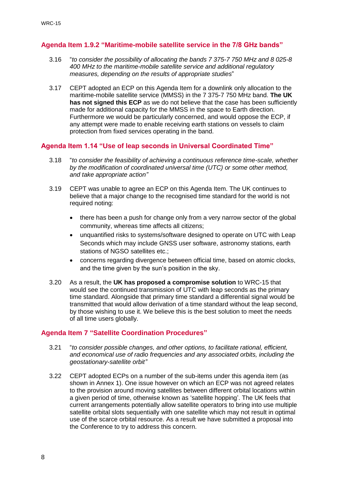#### **Agenda Item 1.9.2 "Maritime-mobile satellite service in the 7/8 GHz bands"**

- 3.16 "*to consider the possibility of allocating the bands 7 375-7 750 MHz and 8 025-8 400 MHz to the maritime-mobile satellite service and additional regulatory measures, depending on the results of appropriate studies*"
- 3.17 CEPT adopted an ECP on this Agenda Item for a downlink only allocation to the maritime-mobile satellite service (MMSS) in the 7 375-7 750 MHz band. **The UK has not signed this ECP** as we do not believe that the case has been sufficiently made for additional capacity for the MMSS in the space to Earth direction. Furthermore we would be particularly concerned, and would oppose the ECP, if any attempt were made to enable receiving earth stations on vessels to claim protection from fixed services operating in the band.

#### **Agenda Item 1.14 "Use of leap seconds in Universal Coordinated Time"**

- 3.18 "*to consider the feasibility of achieving a continuous reference time-scale, whether by the modification of coordinated universal time (UTC) or some other method, and take appropriate action"*
- 3.19 CEPT was unable to agree an ECP on this Agenda Item. The UK continues to believe that a major change to the recognised time standard for the world is not required noting:
	- there has been a push for change only from a very narrow sector of the global community, whereas time affects all citizens;
	- unquantified risks to systems/software designed to operate on UTC with Leap Seconds which may include GNSS user software, astronomy stations, earth stations of NGSO satellites etc.;
	- concerns regarding divergence between official time, based on atomic clocks, and the time given by the sun's position in the sky.
- 3.20 As a result, the **UK has proposed a compromise solution** to WRC-15 that would see the continued transmission of UTC with leap seconds as the primary time standard. Alongside that primary time standard a differential signal would be transmitted that would allow derivation of a time standard without the leap second, by those wishing to use it. We believe this is the best solution to meet the needs of all time users globally.

#### **Agenda Item 7 "Satellite Coordination Procedures"**

- 3.21 "*to consider possible changes, and other options, to facilitate rational, efficient, and economical use of radio frequencies and any associated orbits, including the geostationary-satellite orbit"*
- 3.22 CEPT adopted ECPs on a number of the sub-items under this agenda item (as shown in Annex 1). One issue however on which an ECP was not agreed relates to the provision around moving satellites between different orbital locations within a given period of time, otherwise known as 'satellite hopping'. The UK feels that current arrangements potentially allow satellite operators to bring into use multiple satellite orbital slots sequentially with one satellite which may not result in optimal use of the scarce orbital resource. As a result we have submitted a proposal into the Conference to try to address this concern.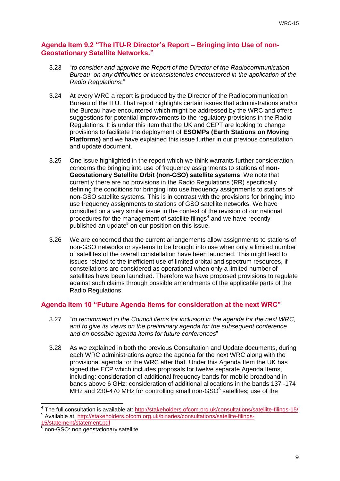#### **Agenda Item 9.2 "The ITU-R Director's Report – Bringing into Use of non-Geostationary Satellite Networks."**

- 3.23 "*to consider and approve the Report of the Director of the Radiocommunication Bureau on any difficulties or inconsistencies encountered in the application of the Radio Regulations*:"
- 3.24 At every WRC a report is produced by the Director of the Radiocommunication Bureau of the ITU. That report highlights certain issues that administrations and/or the Bureau have encountered which might be addressed by the WRC and offers suggestions for potential improvements to the regulatory provisions in the Radio Regulations. It is under this item that the UK and CEPT are looking to change provisions to facilitate the deployment of **ESOMPs (Earth Stations on Moving Platforms)** and we have explained this issue further in our previous consultation and update document.
- 3.25 One issue highlighted in the report which we think warrants further consideration concerns the bringing into use of frequency assignments to stations of **non-Geostationary Satellite Orbit (non-GSO) satellite systems**. We note that currently there are no provisions in the Radio Regulations (RR) specifically defining the conditions for bringing into use frequency assignments to stations of non-GSO satellite systems. This is in contrast with the provisions for bringing into use frequency assignments to stations of GSO satellite networks. We have consulted on a very similar issue in the context of the revision of our national procedures for the management of satellite filings<sup>4</sup> and we have recently published an update<sup>5</sup> on our position on this issue.
- 3.26 We are concerned that the current arrangements allow assignments to stations of non-GSO networks or systems to be brought into use when only a limited number of satellites of the overall constellation have been launched. This might lead to issues related to the inefficient use of limited orbital and spectrum resources, if constellations are considered as operational when only a limited number of satellites have been launched. Therefore we have proposed provisions to regulate against such claims through possible amendments of the applicable parts of the Radio Regulations.

#### **Agenda Item 10 "Future Agenda Items for consideration at the next WRC"**

- 3.27 "*to recommend to the Council items for inclusion in the agenda for the next WRC, and to give its views on the preliminary agenda for the subsequent conference and on possible agenda items for future conferences*"
- 3.28 As we explained in both the previous Consultation and Update documents, during each WRC administrations agree the agenda for the next WRC along with the provisional agenda for the WRC after that. Under this Agenda Item the UK has signed the ECP which includes proposals for twelve separate Agenda Items, including: consideration of additional frequency bands for mobile broadband in bands above 6 GHz; consideration of additional allocations in the bands 137 -174 MHz and 230-470 MHz for controlling small non-GSO $<sup>6</sup>$  satellites; use of the</sup>

<sup>-</sup>4 The full consultation is available at:<http://stakeholders.ofcom.org.uk/consultations/satellite-filings-15/> <sup>5</sup> Available at: [http://stakeholders.ofcom.org.uk/binaries/consultations/satellite-filings-](http://stakeholders.ofcom.org.uk/binaries/consultations/satellite-filings-15/statement/statement.pdf)

[<sup>15/</sup>statement/statement.pdf](http://stakeholders.ofcom.org.uk/binaries/consultations/satellite-filings-15/statement/statement.pdf)

 $6$  non-GSO: non geostationary satellite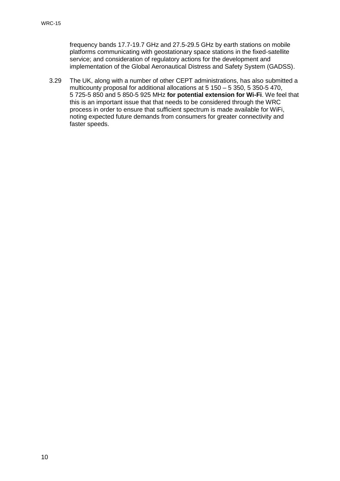frequency bands 17.7-19.7 GHz and 27.5-29.5 GHz by earth stations on mobile platforms communicating with geostationary space stations in the fixed-satellite service; and consideration of regulatory actions for the development and implementation of the Global Aeronautical Distress and Safety System (GADSS).

3.29 The UK, along with a number of other CEPT administrations, has also submitted a multicounty proposal for additional allocations at 5 150 – 5 350, 5 350-5 470, 5 725-5 850 and 5 850-5 925 MHz **for potential extension for Wi-Fi**. We feel that this is an important issue that that needs to be considered through the WRC process in order to ensure that sufficient spectrum is made available for WiFi, noting expected future demands from consumers for greater connectivity and faster speeds.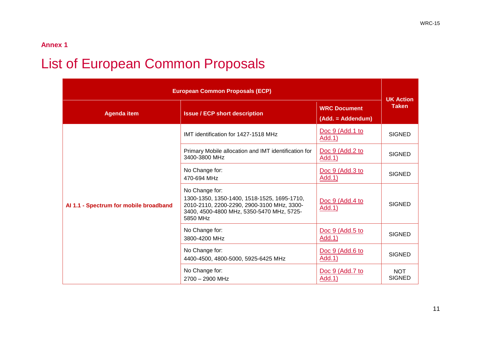### **Annex 1**

## **List of European Common Proposals**

| <b>European Common Proposals (ECP)</b> |                                                                                                                                                                      |                                          | <b>UK Action</b>            |
|----------------------------------------|----------------------------------------------------------------------------------------------------------------------------------------------------------------------|------------------------------------------|-----------------------------|
| <b>Agenda item</b>                     | <b>Issue / ECP short description</b>                                                                                                                                 | <b>WRC Document</b><br>(Add. = Addendum) | <b>Taken</b>                |
|                                        | IMT identification for 1427-1518 MHz                                                                                                                                 | Doc 9 (Add.1 to<br>Add.1)                | <b>SIGNED</b>               |
|                                        | Primary Mobile allocation and IMT identification for<br>3400-3800 MHz                                                                                                | Doc 9 (Add.2 to<br>Add.1)                | <b>SIGNED</b>               |
|                                        | No Change for:<br>470-694 MHz                                                                                                                                        | Doc 9 (Add.3 to<br>Add.1)                | <b>SIGNED</b>               |
| Al 1.1 - Spectrum for mobile broadband | No Change for:<br>1300-1350, 1350-1400, 1518-1525, 1695-1710,<br>2010-2110, 2200-2290, 2900-3100 MHz, 3300-<br>3400, 4500-4800 MHz, 5350-5470 MHz, 5725-<br>5850 MHz | Doc 9 (Add.4 to<br><b>Add.1)</b>         | <b>SIGNED</b>               |
|                                        | No Change for:<br>3800-4200 MHz                                                                                                                                      | Doc 9 (Add.5 to<br>Add.1)                | <b>SIGNED</b>               |
|                                        | No Change for:<br>4400-4500, 4800-5000, 5925-6425 MHz                                                                                                                | Doc 9 (Add.6 to<br>Add.1)                | <b>SIGNED</b>               |
|                                        | No Change for:<br>2700 - 2900 MHz                                                                                                                                    | Doc 9 (Add.7 to<br>Add.1)                | <b>NOT</b><br><b>SIGNED</b> |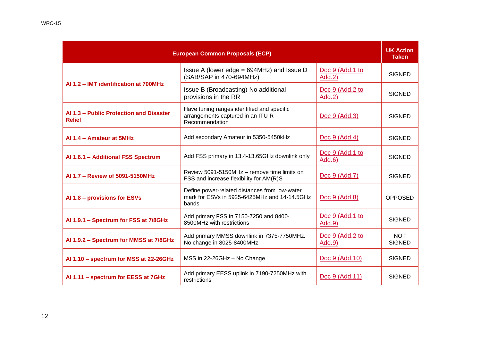| <b>European Common Proposals (ECP)</b>                   |                                                                                                        |                           | <b>UK Action</b><br><b>Taken</b> |
|----------------------------------------------------------|--------------------------------------------------------------------------------------------------------|---------------------------|----------------------------------|
|                                                          | Issue A (lower edge = $694$ MHz) and Issue D<br>(SAB/SAP in 470-694MHz)                                | Doc 9 (Add.1 to<br>Add.2) | <b>SIGNED</b>                    |
| Al 1.2 - IMT identification at 700MHz                    | Issue B (Broadcasting) No additional<br>provisions in the RR                                           | Doc 9 (Add.2 to<br>Add.2) | <b>SIGNED</b>                    |
| Al 1.3 - Public Protection and Disaster<br><b>Relief</b> | Have tuning ranges identified and specific<br>arrangements captured in an ITU-R<br>Recommendation      | <u>Doc 9 (Add.3)</u>      | <b>SIGNED</b>                    |
| Al 1.4 - Amateur at 5MHz                                 | Add secondary Amateur in 5350-5450kHz                                                                  | Doc 9 (Add.4)             | <b>SIGNED</b>                    |
| Al 1.6.1 - Additional FSS Spectrum                       | Add FSS primary in 13.4-13.65GHz downlink only                                                         | Doc 9 (Add.1 to<br>Add.6) | <b>SIGNED</b>                    |
| Al 1.7 - Review of 5091-5150MHz                          | Review 5091-5150MHz - remove time limits on<br>FSS and increase flexibility for AM(R)S                 | Doc 9 (Add.7)             | <b>SIGNED</b>                    |
| Al 1.8 - provisions for ESVs                             | Define power-related distances from low-water<br>mark for ESVs in 5925-6425MHz and 14-14.5GHz<br>bands | Doc 9 (Add.8)             | <b>OPPOSED</b>                   |
| Al 1.9.1 - Spectrum for FSS at 7/8GHz                    | Add primary FSS in 7150-7250 and 8400-<br>8500MHz with restrictions                                    | Doc 9 (Add.1 to<br>Add.9) | <b>SIGNED</b>                    |
| Al 1.9.2 - Spectrum for MMSS at 7/8GHz                   | Add primary MMSS downlink in 7375-7750MHz.<br>No change in 8025-8400MHz                                | Doc 9 (Add.2 to<br>Add.9  | <b>NOT</b><br><b>SIGNED</b>      |
| Al 1.10 - spectrum for MSS at 22-26GHz                   | MSS in 22-26GHz - No Change                                                                            | Doc 9 (Add.10)            | <b>SIGNED</b>                    |
| Al 1.11 - spectrum for EESS at 7GHz                      | Add primary EESS uplink in 7190-7250MHz with<br>restrictions                                           | Doc 9 (Add.11)            | <b>SIGNED</b>                    |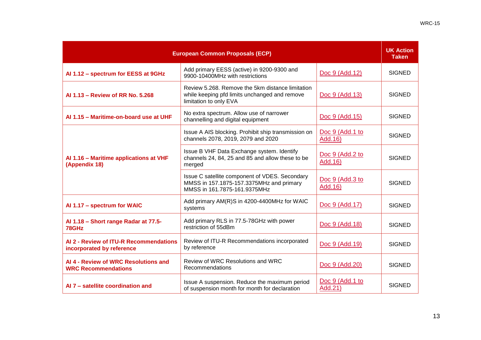| <b>European Common Proposals (ECP)</b>                              |                                                                                                                             |                             | <b>UK Action</b><br><b>Taken</b> |
|---------------------------------------------------------------------|-----------------------------------------------------------------------------------------------------------------------------|-----------------------------|----------------------------------|
| Al 1.12 - spectrum for EESS at 9GHz                                 | Add primary EESS (active) in 9200-9300 and<br>9900-10400MHz with restrictions                                               | Doc 9 (Add.12)              | <b>SIGNED</b>                    |
| Al 1.13 - Review of RR No. 5.268                                    | Review 5.268. Remove the 5km distance limitation<br>while keeping pfd limits unchanged and remove<br>limitation to only EVA | Doc 9 (Add.13)              | <b>SIGNED</b>                    |
| Al 1.15 - Maritime-on-board use at UHF                              | No extra spectrum. Allow use of narrower<br>channelling and digital equipment                                               | Doc 9 (Add.15)              | <b>SIGNED</b>                    |
|                                                                     | Issue A AIS blocking. Prohibit ship transmission on<br>channels 2078, 2019, 2079 and 2020                                   | Doc 9 (Add.1 to<br>Add. 16) | <b>SIGNED</b>                    |
| Al 1.16 - Maritime applications at VHF<br>(Appendix 18)             | Issue B VHF Data Exchange system. Identify<br>channels 24, 84, 25 and 85 and allow these to be<br>merged                    | Doc 9 (Add.2 to<br>Add. 16) | <b>SIGNED</b>                    |
|                                                                     | Issue C satellite component of VDES. Secondary<br>MMSS in 157.1875-157.3375MHz and primary<br>MMSS in 161.7875-161.9375MHz  | Doc 9 (Add.3 to<br>Add. 16) | <b>SIGNED</b>                    |
| Al 1.17 - spectrum for WAIC                                         | Add primary AM(R)S in 4200-4400MHz for WAIC<br>systems                                                                      | Doc 9 (Add.17)              | <b>SIGNED</b>                    |
| Al 1.18 - Short range Radar at 77.5-<br>78GHz                       | Add primary RLS in 77.5-78GHz with power<br>restriction of 55dBm                                                            | Doc 9 (Add.18)              | <b>SIGNED</b>                    |
| AI 2 - Review of ITU-R Recommendations<br>incorporated by reference | Review of ITU-R Recommendations incorporated<br>by reference                                                                | Doc 9 (Add.19)              | <b>SIGNED</b>                    |
| Al 4 - Review of WRC Resolutions and<br><b>WRC Recommendations</b>  | Review of WRC Resolutions and WRC<br>Recommendations                                                                        | Doc 9 (Add.20)              | <b>SIGNED</b>                    |
| Al 7 - satellite coordination and                                   | Issue A suspension. Reduce the maximum period<br>of suspension month for month for declaration                              | Doc 9 (Add.1 to<br>Add.21)  | <b>SIGNED</b>                    |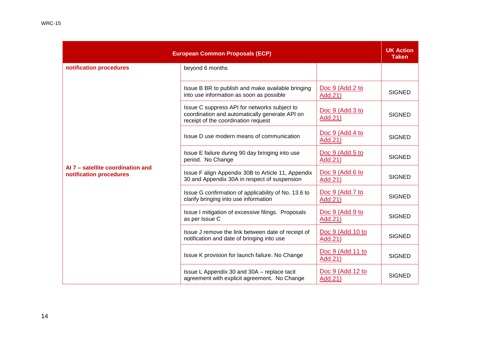|                                                              | <b>European Common Proposals (ECP)</b>                                                                                                |                                    | <b>UK Action</b><br><b>Taken</b> |
|--------------------------------------------------------------|---------------------------------------------------------------------------------------------------------------------------------------|------------------------------------|----------------------------------|
| notification procedures                                      | beyond 6 months                                                                                                                       |                                    |                                  |
|                                                              | Issue B BR to publish and make available bringing<br>into use information as soon as possible                                         | Doc 9 (Add.2 to<br>Add.21)         | <b>SIGNED</b>                    |
|                                                              | Issue C suppress API for networks subject to<br>coordination and automatically generate API on<br>receipt of the coordination request | Doc 9 (Add.3 to<br>Add.21)         | <b>SIGNED</b>                    |
|                                                              | Issue D use modern means of communication                                                                                             | Doc 9 (Add.4 to<br>Add.21)         | <b>SIGNED</b>                    |
|                                                              | Issue E failure during 90 day bringing into use<br>period. No Change                                                                  | Doc 9 (Add.5 to<br>Add.21)         | <b>SIGNED</b>                    |
| Al 7 - satellite coordination and<br>notification procedures | Issue F align Appendix 30B to Article 11, Appendix<br>30 and Appendix 30A in respect of suspension                                    | Doc 9 (Add.6 to<br>Add.21)         | <b>SIGNED</b>                    |
|                                                              | Issue G confirmation of applicability of No. 13.6 to<br>clarify bringing into use information                                         | Doc 9 (Add.7 to<br>Add.21)         | <b>SIGNED</b>                    |
|                                                              | Issue I mitigation of excessive filings. Proposals<br>as per Issue C                                                                  | Doc 9 (Add.9 to<br>Add.21)         | <b>SIGNED</b>                    |
|                                                              | Issue J remove the link between date of receipt of<br>notification and date of bringing into use                                      | Doc 9 (Add.10 to<br>Add.21)        | <b>SIGNED</b>                    |
|                                                              | Issue K provision for launch failure. No Change                                                                                       | <u>Doc 9 (Add.11 to</u><br>Add.21) | <b>SIGNED</b>                    |
|                                                              | Issue L Appendix 30 and 30A - replace tacit<br>agreement with explicit agreement. No Change                                           | Doc 9 (Add.12 to<br>Add.21)        | <b>SIGNED</b>                    |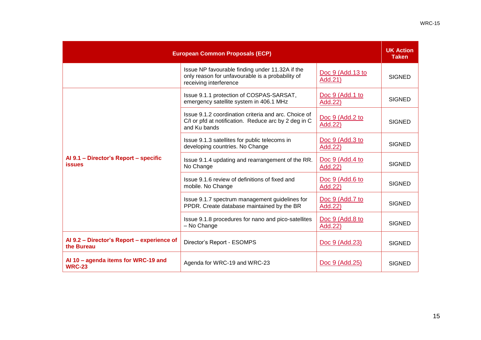| <b>European Common Proposals (ECP)</b>                   |                                                                                                                               |                             | <b>UK Action</b><br><b>Taken</b> |
|----------------------------------------------------------|-------------------------------------------------------------------------------------------------------------------------------|-----------------------------|----------------------------------|
|                                                          | Issue NP favourable finding under 11.32A if the<br>only reason for unfavourable is a probability of<br>receiving interference | Doc 9 (Add.13 to<br>Add.21) | <b>SIGNED</b>                    |
|                                                          | Issue 9.1.1 protection of COSPAS-SARSAT,<br>emergency satellite system in 406.1 MHz                                           | Doc 9 (Add.1 to<br>Add.22)  | <b>SIGNED</b>                    |
|                                                          | Issue 9.1.2 coordination criteria and arc. Choice of<br>C/I or pfd at notification. Reduce arc by 2 deg in C<br>and Ku bands  | Doc 9 (Add.2 to<br>Add.22)  | <b>SIGNED</b>                    |
| Al 9.1 - Director's Report - specific<br><b>issues</b>   | Issue 9.1.3 satellites for public telecoms in<br>developing countries. No Change                                              | Doc 9 (Add.3 to<br>Add.22)  | <b>SIGNED</b>                    |
|                                                          | Issue 9.1.4 updating and rearrangement of the RR.<br>No Change                                                                | Doc 9 (Add.4 to<br>Add.22)  | <b>SIGNED</b>                    |
|                                                          | Issue 9.1.6 review of definitions of fixed and<br>mobile. No Change                                                           | Doc 9 (Add.6 to<br>Add.22)  | <b>SIGNED</b>                    |
|                                                          | Issue 9.1.7 spectrum management guidelines for<br>PPDR. Create database maintained by the BR                                  | Doc 9 (Add.7 to<br>Add.22)  | <b>SIGNED</b>                    |
|                                                          | Issue 9.1.8 procedures for nano and pico-satellites<br>- No Change                                                            | Doc 9 (Add.8 to<br>Add.22)  | <b>SIGNED</b>                    |
| Al 9.2 - Director's Report - experience of<br>the Bureau | Director's Report - ESOMPS                                                                                                    | Doc 9 (Add.23)              | <b>SIGNED</b>                    |
| Al 10 - agenda items for WRC-19 and<br><b>WRC-23</b>     | Agenda for WRC-19 and WRC-23                                                                                                  | Doc 9 (Add.25)              | <b>SIGNED</b>                    |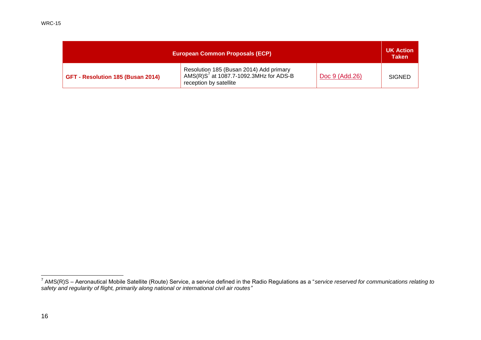| <b>European Common Proposals (ECP)</b> |                                                                                                                |                | <b>UK Action</b><br><b>Taken</b> |
|----------------------------------------|----------------------------------------------------------------------------------------------------------------|----------------|----------------------------------|
| GFT - Resolution 185 (Busan 2014)      | Resolution 185 (Busan 2014) Add primary<br>AMS(R) $S7$ at 1087.7-1092.3MHz for ADS-B<br>reception by satellite | Doc 9 (Add.26) | <b>SIGNED</b>                    |

 7 AMS(R)S – Aeronautical Mobile Satellite (Route) Service, a service defined in the Radio Regulations as a "*service reserved for communications relating to safety and regularity of flight, primarily along national or international civil air routes"*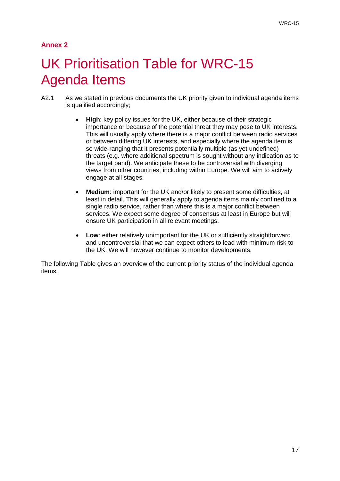### **Annex 2**

## UK Prioritisation Table for WRC-15 Agenda Items

- A2.1 As we stated in previous documents the UK priority given to individual agenda items is qualified accordingly;
	- **High**: key policy issues for the UK, either because of their strategic importance or because of the potential threat they may pose to UK interests. This will usually apply where there is a major conflict between radio services or between differing UK interests, and especially where the agenda item is so wide-ranging that it presents potentially multiple (as yet undefined) threats (e.g. where additional spectrum is sought without any indication as to the target band). We anticipate these to be controversial with diverging views from other countries, including within Europe. We will aim to actively engage at all stages.
	- **Medium**: important for the UK and/or likely to present some difficulties, at least in detail. This will generally apply to agenda items mainly confined to a single radio service, rather than where this is a major conflict between services. We expect some degree of consensus at least in Europe but will ensure UK participation in all relevant meetings.
	- **Low**: either relatively unimportant for the UK or sufficiently straightforward and uncontroversial that we can expect others to lead with minimum risk to the UK. We will however continue to monitor developments.

The following Table gives an overview of the current priority status of the individual agenda items.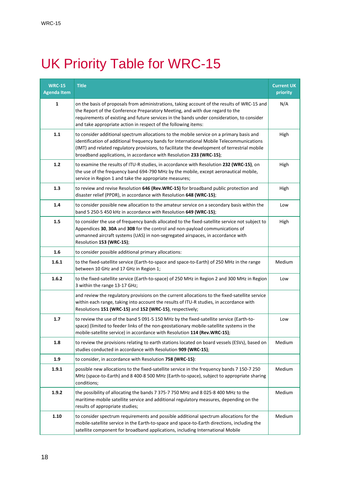# UK Priority Table for WRC-15

| <b>WRC-15</b><br><b>Agenda Item</b> | <b>Title</b>                                                                                                                                                                                                                                                                                                                                                | <b>Current UK</b><br>priority |
|-------------------------------------|-------------------------------------------------------------------------------------------------------------------------------------------------------------------------------------------------------------------------------------------------------------------------------------------------------------------------------------------------------------|-------------------------------|
| 1                                   | on the basis of proposals from administrations, taking account of the results of WRC-15 and<br>the Report of the Conference Preparatory Meeting, and with due regard to the<br>requirements of existing and future services in the bands under consideration, to consider<br>and take appropriate action in respect of the following items:                 | N/A                           |
| 1.1                                 | to consider additional spectrum allocations to the mobile service on a primary basis and<br>identification of additional frequency bands for International Mobile Telecommunications<br>(IMT) and related regulatory provisions, to facilitate the development of terrestrial mobile<br>broadband applications, in accordance with Resolution 233 (WRC-15); | High                          |
| 1.2                                 | to examine the results of ITU-R studies, in accordance with Resolution 232 (WRC-15), on<br>the use of the frequency band 694-790 MHz by the mobile, except aeronautical mobile,<br>service in Region 1 and take the appropriate measures;                                                                                                                   | High                          |
| 1.3                                 | to review and revise Resolution 646 (Rev.WRC-15) for broadband public protection and<br>disaster relief (PPDR), in accordance with Resolution 648 (WRC-15);                                                                                                                                                                                                 | High                          |
| 1.4                                 | to consider possible new allocation to the amateur service on a secondary basis within the<br>band 5 250-5 450 kHz in accordance with Resolution 649 (WRC-15);                                                                                                                                                                                              | Low                           |
| 1.5                                 | to consider the use of frequency bands allocated to the fixed-satellite service not subject to<br>Appendices 30, 30A and 30B for the control and non-payload communications of<br>unmanned aircraft systems (UAS) in non-segregated airspaces, in accordance with<br>Resolution 153 (WRC-15);                                                               | High                          |
| 1.6                                 | to consider possible additional primary allocations:                                                                                                                                                                                                                                                                                                        |                               |
| 1.6.1                               | to the fixed-satellite service (Earth-to-space and space-to-Earth) of 250 MHz in the range<br>between 10 GHz and 17 GHz in Region 1;                                                                                                                                                                                                                        | Medium                        |
| 1.6.2                               | to the fixed-satellite service (Earth-to-space) of 250 MHz in Region 2 and 300 MHz in Region<br>3 within the range 13-17 GHz;                                                                                                                                                                                                                               | Low                           |
|                                     | and review the regulatory provisions on the current allocations to the fixed-satellite service<br>within each range, taking into account the results of ITU-R studies, in accordance with<br>Resolutions 151 (WRC-15) and 152 (WRC-15), respectively;                                                                                                       |                               |
| 1.7                                 | to review the use of the band 5 091-5 150 MHz by the fixed-satellite service (Earth-to-<br>space) (limited to feeder links of the non-geostationary mobile-satellite systems in the<br>mobile-satellite service) in accordance with Resolution 114 (Rev.WRC-15);                                                                                            | Low                           |
| 1.8                                 | to review the provisions relating to earth stations located on board vessels (ESVs), based on<br>studies conducted in accordance with Resolution 909 (WRC-15);                                                                                                                                                                                              | Medium                        |
| 1.9                                 | to consider, in accordance with Resolution 758 (WRC-15):                                                                                                                                                                                                                                                                                                    |                               |
| 1.9.1                               | possible new allocations to the fixed-satellite service in the frequency bands 7 150-7 250<br>MHz (space-to-Earth) and 8 400-8 500 MHz (Earth-to-space), subject to appropriate sharing<br>conditions;                                                                                                                                                      | Medium                        |
| 1.9.2                               | the possibility of allocating the bands 7 375-7 750 MHz and 8 025-8 400 MHz to the<br>maritime-mobile satellite service and additional regulatory measures, depending on the<br>results of appropriate studies;                                                                                                                                             | Medium                        |
| 1.10                                | to consider spectrum requirements and possible additional spectrum allocations for the<br>mobile-satellite service in the Earth-to-space and space-to-Earth directions, including the<br>satellite component for broadband applications, including International Mobile                                                                                     | Medium                        |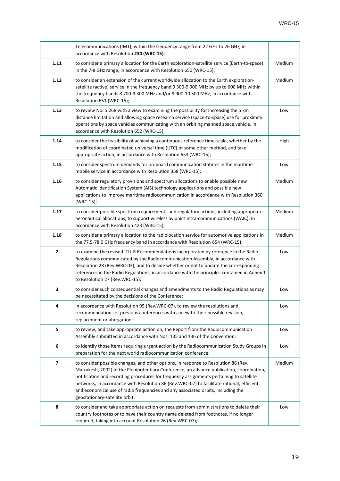|      | Telecommunications (IMT), within the frequency range from 22 GHz to 26 GHz, in<br>accordance with Resolution 234 (WRC-15);                                                                                                                                                                                                                                                                                                                                                                      |        |
|------|-------------------------------------------------------------------------------------------------------------------------------------------------------------------------------------------------------------------------------------------------------------------------------------------------------------------------------------------------------------------------------------------------------------------------------------------------------------------------------------------------|--------|
| 1.11 | to consider a primary allocation for the Earth exploration-satellite service (Earth-to-space)<br>in the 7-8 GHz range, in accordance with Resolution 650 (WRC-15);                                                                                                                                                                                                                                                                                                                              | Medium |
| 1.12 | to consider an extension of the current worldwide allocation to the Earth exploration-<br>satellite (active) service in the frequency band 9 300-9 900 MHz by up to 600 MHz within<br>the frequency bands 8 700-9 300 MHz and/or 9 900-10 500 MHz, in accordance with<br>Resolution 651 (WRC-15);                                                                                                                                                                                               | Medium |
| 1.13 | to review No. 5.268 with a view to examining the possibility for increasing the 5 km<br>distance limitation and allowing space research service (space-to-space) use for proximity<br>operations by space vehicles communicating with an orbiting manned space vehicle, in<br>accordance with Resolution 652 (WRC-15);                                                                                                                                                                          | Low    |
| 1.14 | to consider the feasibility of achieving a continuous reference time-scale, whether by the<br>modification of coordinated universal time (UTC) or some other method, and take<br>appropriate action, in accordance with Resolution 653 (WRC-15);                                                                                                                                                                                                                                                | High   |
| 1.15 | to consider spectrum demands for on-board communication stations in the maritime<br>mobile service in accordance with Resolution 358 (WRC-15);                                                                                                                                                                                                                                                                                                                                                  | Low    |
| 1.16 | to consider regulatory provisions and spectrum allocations to enable possible new<br>Automatic Identification System (AIS) technology applications and possible new<br>applications to improve maritime radiocommunication in accordance with Resolution 360<br>(WRC-15);                                                                                                                                                                                                                       | Medium |
| 1.17 | to consider possible spectrum requirements and regulatory actions, including appropriate<br>aeronautical allocations, to support wireless avionics intra-communications (WAIC), in<br>accordance with Resolution 423 (WRC-15);                                                                                                                                                                                                                                                                  | Medium |
| 1.18 | to consider a primary allocation to the radiolocation service for automotive applications in<br>the 77.5-78.0 GHz frequency band in accordance with Resolution 654 (WRC-15);                                                                                                                                                                                                                                                                                                                    | Medium |
| 2    | to examine the revised ITU-R Recommendations incorporated by reference in the Radio<br>Regulations communicated by the Radiocommunication Assembly, in accordance with<br>Resolution 28 (Rev.WRC-03), and to decide whether or not to update the corresponding<br>references in the Radio Regulations, in accordance with the principles contained in Annex 1<br>to Resolution 27 (Rev.WRC-15);                                                                                                 | Low    |
| 3    | to consider such consequential changes and amendments to the Radio Regulations as may<br>be necessitated by the decisions of the Conference;                                                                                                                                                                                                                                                                                                                                                    | Low    |
| 4    | in accordance with Resolution 95 (Rev.WRC-07), to review the resolutions and<br>recommendations of previous conferences with a view to their possible revision,<br>replacement or abrogation;                                                                                                                                                                                                                                                                                                   | Low    |
| 5    | to review, and take appropriate action on, the Report from the Radiocommunication<br>Assembly submitted in accordance with Nos. 135 and 136 of the Convention;                                                                                                                                                                                                                                                                                                                                  | Low    |
| 6    | to identify those items requiring urgent action by the Radiocommunication Study Groups in<br>preparation for the next world radiocommunication conference;                                                                                                                                                                                                                                                                                                                                      | Low    |
| 7    | to consider possible changes, and other options, in response to Resolution 86 (Rev.<br>Marrakesh, 2002) of the Plenipotentiary Conference, an advance publication, coordination,<br>notification and recording procedures for frequency assignments pertaining to satellite<br>networks, in accordance with Resolution 86 (Rev.WRC-07) to facilitate rational, efficient,<br>and economical use of radio frequencies and any associated orbits, including the<br>geostationary-satellite orbit; | Medium |
| 8    | to consider and take appropriate action on requests from administrations to delete their<br>country footnotes or to have their country name deleted from footnotes, if no longer<br>required, taking into account Resolution 26 (Rev.WRC-07);                                                                                                                                                                                                                                                   | Low    |